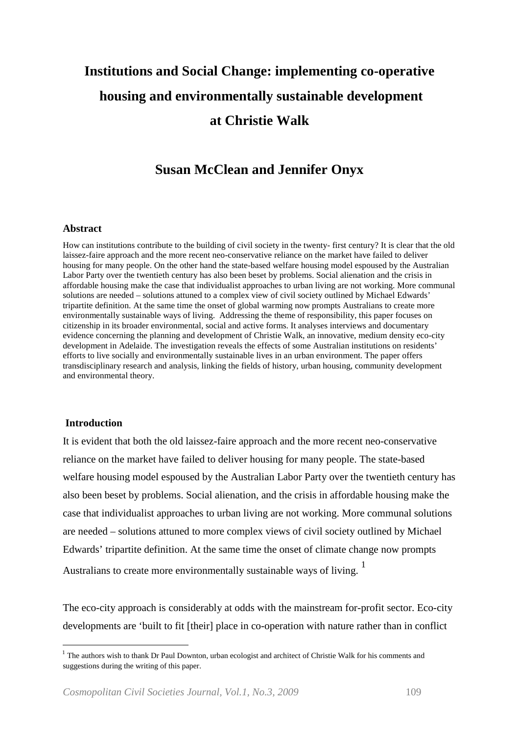# **Institutions and Social Change: implementing co-operative housing and environmentally sustainable development at Christie Walk**

# **Susan McClean and Jennifer Onyx**

#### **Abstract**

How can institutions contribute to the building of civil society in the twenty- first century? It is clear that the old laissez-faire approach and the more recent neo-conservative reliance on the market have failed to deliver housing for many people. On the other hand the state-based welfare housing model espoused by the Australian Labor Party over the twentieth century has also been beset by problems. Social alienation and the crisis in affordable housing make the case that individualist approaches to urban living are not working. More communal solutions are needed – solutions attuned to a complex view of civil society outlined by Michael Edwards' tripartite definition. At the same time the onset of global warming now prompts Australians to create more environmentally sustainable ways of living. Addressing the theme of responsibility, this paper focuses on citizenship in its broader environmental, social and active forms. It analyses interviews and documentary evidence concerning the planning and development of Christie Walk, an innovative, medium density eco-city development in Adelaide. The investigation reveals the effects of some Australian institutions on residents' efforts to live socially and environmentally sustainable lives in an urban environment. The paper offers transdisciplinary research and analysis, linking the fields of history, urban housing, community development and environmental theory.

# **Introduction**

It is evident that both the old laissez-faire approach and the more recent neo-conservative reliance on the market have failed to deliver housing for many people. The state-based welfare housing model espoused by the Australian Labor Party over the twentieth century has also been beset by problems. Social alienation, and the crisis in affordable housing make the case that individualist approaches to urban living are not working. More communal solutions are needed – solutions attuned to more complex views of civil society outlined by Michael Edwards' tripartite definition. At the same time the onset of climate change now prompts Australians to create more environmentally sustainable ways of living.<sup>[1](#page-0-0)</sup>

The eco-city approach is considerably at odds with the mainstream for-profit sector. Eco-city developments are 'built to fit [their] place in co-operation with nature rather than in conflict

<span id="page-0-0"></span><sup>&</sup>lt;sup>1</sup> The authors wish to thank Dr Paul Downton, urban ecologist and architect of Christie Walk for his comments and suggestions during the writing of this paper.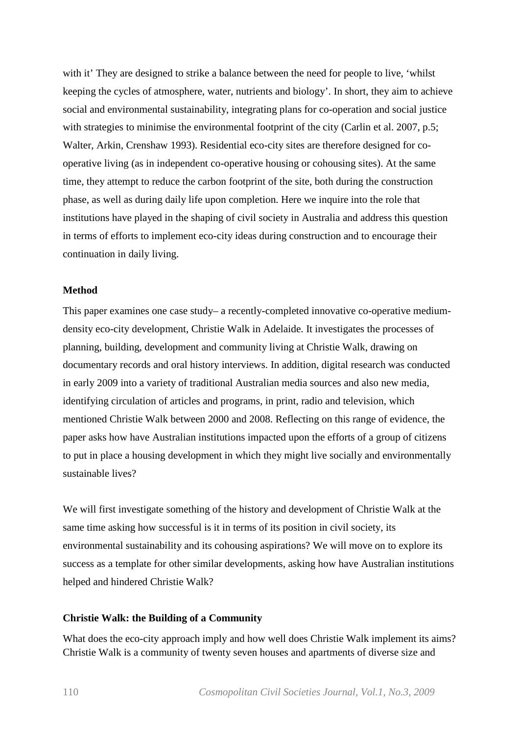with it' They are designed to strike a balance between the need for people to live, 'whilst keeping the cycles of atmosphere, water, nutrients and biology'. In short, they aim to achieve social and environmental sustainability, integrating plans for co-operation and social justice with strategies to minimise the environmental footprint of the city (Carlin et al. 2007, p.5; Walter, Arkin, Crenshaw 1993). Residential eco-city sites are therefore designed for cooperative living (as in independent co-operative housing or cohousing sites). At the same time, they attempt to reduce the carbon footprint of the site, both during the construction phase, as well as during daily life upon completion. Here we inquire into the role that institutions have played in the shaping of civil society in Australia and address this question in terms of efforts to implement eco-city ideas during construction and to encourage their continuation in daily living.

# **Method**

This paper examines one case study– a recently-completed innovative co-operative mediumdensity eco-city development, Christie Walk in Adelaide. It investigates the processes of planning, building, development and community living at Christie Walk, drawing on documentary records and oral history interviews. In addition, digital research was conducted in early 2009 into a variety of traditional Australian media sources and also new media, identifying circulation of articles and programs, in print, radio and television, which mentioned Christie Walk between 2000 and 2008. Reflecting on this range of evidence, the paper asks how have Australian institutions impacted upon the efforts of a group of citizens to put in place a housing development in which they might live socially and environmentally sustainable lives?

We will first investigate something of the history and development of Christie Walk at the same time asking how successful is it in terms of its position in civil society, its environmental sustainability and its cohousing aspirations? We will move on to explore its success as a template for other similar developments, asking how have Australian institutions helped and hindered Christie Walk?

# **Christie Walk: the Building of a Community**

What does the eco-city approach imply and how well does Christie Walk implement its aims? Christie Walk is a community of twenty seven houses and apartments of diverse size and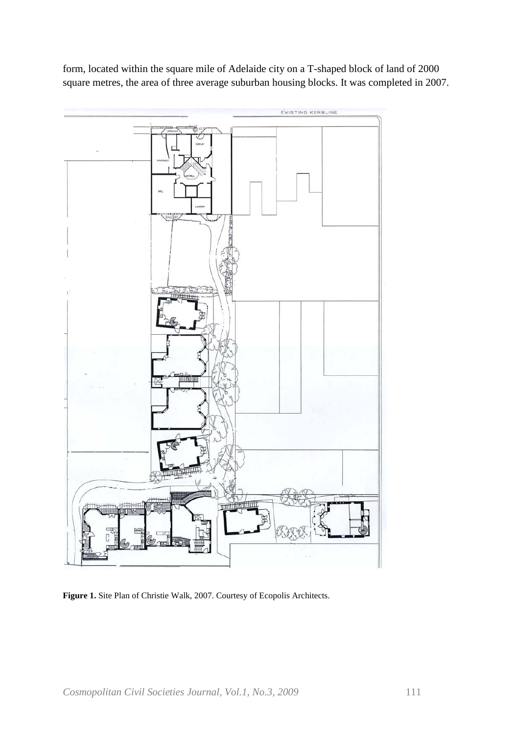form, located within the square mile of Adelaide city on a T-shaped block of land of 2000 square metres, the area of three average suburban housing blocks. It was completed in 2007.



**Figure 1.** Site Plan of Christie Walk, 2007. Courtesy of Ecopolis Architects.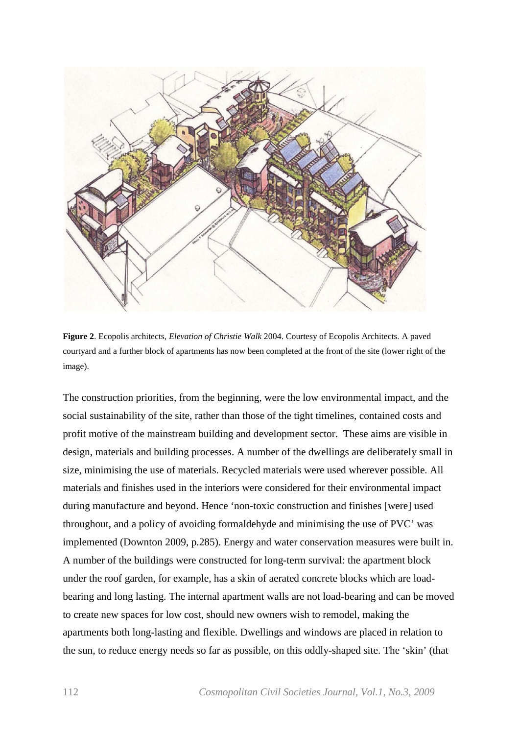

**Figure 2**. Ecopolis architects, *Elevation of Christie Walk* 2004. Courtesy of Ecopolis Architects. A paved courtyard and a further block of apartments has now been completed at the front of the site (lower right of the image).

The construction priorities, from the beginning, were the low environmental impact, and the social sustainability of the site, rather than those of the tight timelines, contained costs and profit motive of the mainstream building and development sector. These aims are visible in design, materials and building processes. A number of the dwellings are deliberately small in size, minimising the use of materials. Recycled materials were used wherever possible. All materials and finishes used in the interiors were considered for their environmental impact during manufacture and beyond. Hence 'non-toxic construction and finishes [were] used throughout, and a policy of avoiding formaldehyde and minimising the use of PVC' was implemented (Downton 2009, p.285). Energy and water conservation measures were built in. A number of the buildings were constructed for long-term survival: the apartment block under the roof garden, for example, has a skin of aerated concrete blocks which are loadbearing and long lasting. The internal apartment walls are not load-bearing and can be moved to create new spaces for low cost, should new owners wish to remodel, making the apartments both long-lasting and flexible. Dwellings and windows are placed in relation to the sun, to reduce energy needs so far as possible, on this oddly-shaped site. The 'skin' (that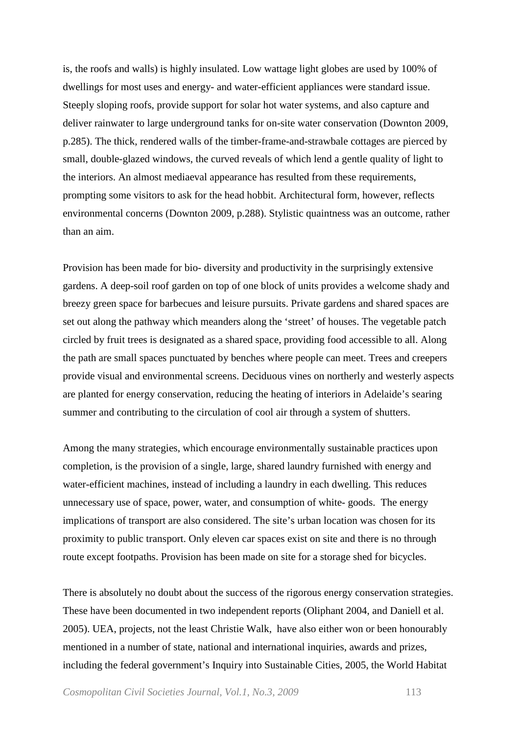is, the roofs and walls) is highly insulated. Low wattage light globes are used by 100% of dwellings for most uses and energy- and water-efficient appliances were standard issue. Steeply sloping roofs, provide support for solar hot water systems, and also capture and deliver rainwater to large underground tanks for on-site water conservation (Downton 2009, p.285). The thick, rendered walls of the timber-frame-and-strawbale cottages are pierced by small, double-glazed windows, the curved reveals of which lend a gentle quality of light to the interiors. An almost mediaeval appearance has resulted from these requirements, prompting some visitors to ask for the head hobbit. Architectural form, however, reflects environmental concerns (Downton 2009, p.288). Stylistic quaintness was an outcome, rather than an aim.

Provision has been made for bio- diversity and productivity in the surprisingly extensive gardens. A deep-soil roof garden on top of one block of units provides a welcome shady and breezy green space for barbecues and leisure pursuits. Private gardens and shared spaces are set out along the pathway which meanders along the 'street' of houses. The vegetable patch circled by fruit trees is designated as a shared space, providing food accessible to all. Along the path are small spaces punctuated by benches where people can meet. Trees and creepers provide visual and environmental screens. Deciduous vines on northerly and westerly aspects are planted for energy conservation, reducing the heating of interiors in Adelaide's searing summer and contributing to the circulation of cool air through a system of shutters.

Among the many strategies, which encourage environmentally sustainable practices upon completion, is the provision of a single, large, shared laundry furnished with energy and water-efficient machines, instead of including a laundry in each dwelling. This reduces unnecessary use of space, power, water, and consumption of white- goods. The energy implications of transport are also considered. The site's urban location was chosen for its proximity to public transport. Only eleven car spaces exist on site and there is no through route except footpaths. Provision has been made on site for a storage shed for bicycles.

There is absolutely no doubt about the success of the rigorous energy conservation strategies. These have been documented in two independent reports (Oliphant 2004, and Daniell et al. 2005). UEA, projects, not the least Christie Walk, have also either won or been honourably mentioned in a number of state, national and international inquiries, awards and prizes, including the federal government's Inquiry into Sustainable Cities, 2005, the World Habitat

*Cosmopolitan Civil Societies Journal, Vol.1, No.3, 2009* 113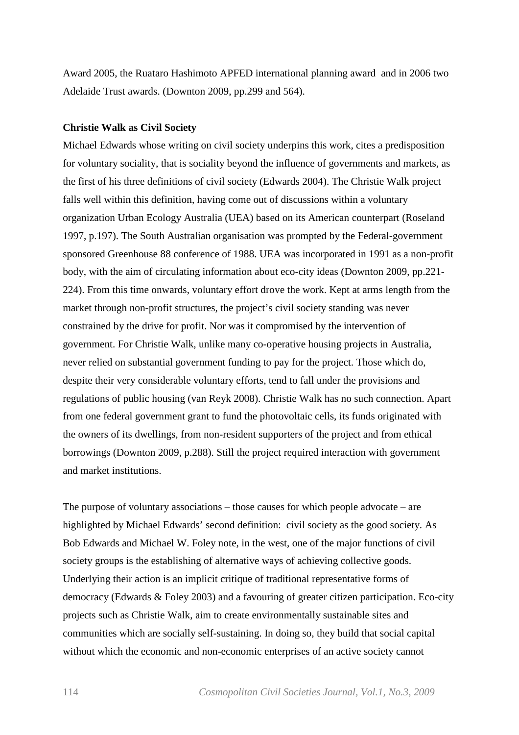Award 2005, the Ruataro Hashimoto APFED international planning award and in 2006 two Adelaide Trust awards. (Downton 2009, pp.299 and 564).

#### **Christie Walk as Civil Society**

Michael Edwards whose writing on civil society underpins this work, cites a predisposition for voluntary sociality, that is sociality beyond the influence of governments and markets, as the first of his three definitions of civil society (Edwards 2004). The Christie Walk project falls well within this definition, having come out of discussions within a voluntary organization Urban Ecology Australia (UEA) based on its American counterpart (Roseland 1997, p.197). The South Australian organisation was prompted by the Federal-government sponsored Greenhouse 88 conference of 1988. UEA was incorporated in 1991 as a non-profit body, with the aim of circulating information about eco-city ideas (Downton 2009, pp.221- 224). From this time onwards, voluntary effort drove the work. Kept at arms length from the market through non-profit structures, the project's civil society standing was never constrained by the drive for profit. Nor was it compromised by the intervention of government. For Christie Walk, unlike many co-operative housing projects in Australia, never relied on substantial government funding to pay for the project. Those which do, despite their very considerable voluntary efforts, tend to fall under the provisions and regulations of public housing (van Reyk 2008). Christie Walk has no such connection. Apart from one federal government grant to fund the photovoltaic cells, its funds originated with the owners of its dwellings, from non-resident supporters of the project and from ethical borrowings (Downton 2009, p.288). Still the project required interaction with government and market institutions.

The purpose of voluntary associations – those causes for which people advocate – are highlighted by Michael Edwards' second definition: civil society as the good society. As Bob Edwards and Michael W. Foley note, in the west, one of the major functions of civil society groups is the establishing of alternative ways of achieving collective goods. Underlying their action is an implicit critique of traditional representative forms of democracy (Edwards & Foley 2003) and a favouring of greater citizen participation. Eco-city projects such as Christie Walk, aim to create environmentally sustainable sites and communities which are socially self-sustaining. In doing so, they build that social capital without which the economic and non-economic enterprises of an active society cannot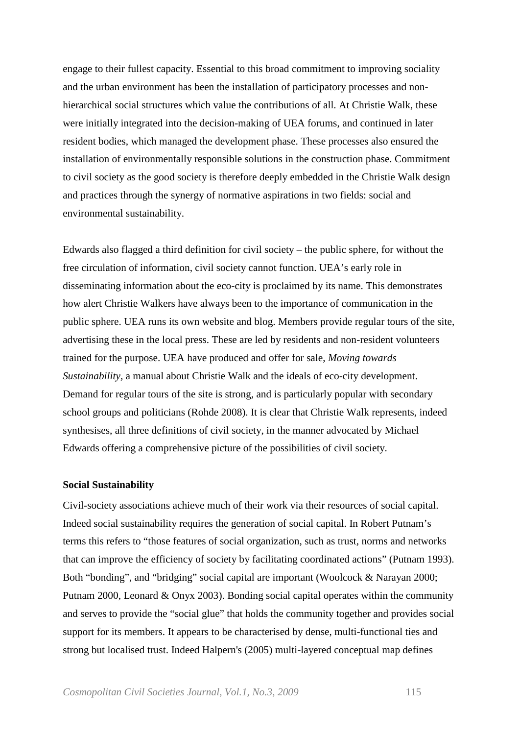engage to their fullest capacity. Essential to this broad commitment to improving sociality and the urban environment has been the installation of participatory processes and nonhierarchical social structures which value the contributions of all. At Christie Walk, these were initially integrated into the decision-making of UEA forums, and continued in later resident bodies, which managed the development phase. These processes also ensured the installation of environmentally responsible solutions in the construction phase. Commitment to civil society as the good society is therefore deeply embedded in the Christie Walk design and practices through the synergy of normative aspirations in two fields: social and environmental sustainability.

Edwards also flagged a third definition for civil society – the public sphere, for without the free circulation of information, civil society cannot function. UEA's early role in disseminating information about the eco-city is proclaimed by its name. This demonstrates how alert Christie Walkers have always been to the importance of communication in the public sphere. UEA runs its own website and blog. Members provide regular tours of the site, advertising these in the local press. These are led by residents and non-resident volunteers trained for the purpose. UEA have produced and offer for sale, *Moving towards Sustainability,* a manual about Christie Walk and the ideals of eco-city development. Demand for regular tours of the site is strong, and is particularly popular with secondary school groups and politicians (Rohde 2008). It is clear that Christie Walk represents, indeed synthesises, all three definitions of civil society, in the manner advocated by Michael Edwards offering a comprehensive picture of the possibilities of civil society.

#### **Social Sustainability**

Civil-society associations achieve much of their work via their resources of social capital. Indeed social sustainability requires the generation of social capital. In Robert Putnam's terms this refers to "those features of social organization, such as trust, norms and networks that can improve the efficiency of society by facilitating coordinated actions" (Putnam 1993). Both "bonding", and "bridging" social capital are important (Woolcock & Narayan 2000; Putnam 2000, Leonard & Onyx 2003). Bonding social capital operates within the community and serves to provide the "social glue" that holds the community together and provides social support for its members. It appears to be characterised by dense, multi-functional ties and strong but localised trust. Indeed Halpern's (2005) multi-layered conceptual map defines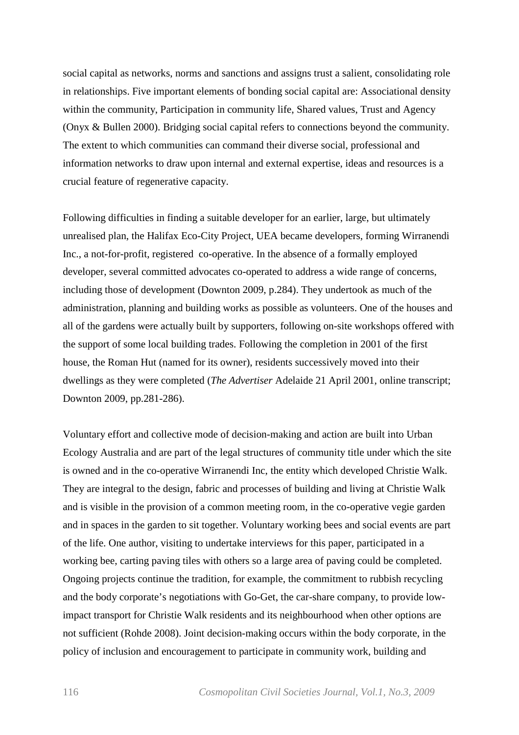social capital as networks, norms and sanctions and assigns trust a salient, consolidating role in relationships. Five important elements of bonding social capital are: Associational density within the community, Participation in community life, Shared values, Trust and Agency (Onyx & Bullen 2000). Bridging social capital refers to connections beyond the community. The extent to which communities can command their diverse social, professional and information networks to draw upon internal and external expertise, ideas and resources is a crucial feature of regenerative capacity.

Following difficulties in finding a suitable developer for an earlier, large, but ultimately unrealised plan, the Halifax Eco-City Project, UEA became developers, forming Wirranendi Inc., a not-for-profit, registered co-operative. In the absence of a formally employed developer, several committed advocates co-operated to address a wide range of concerns, including those of development (Downton 2009, p.284). They undertook as much of the administration, planning and building works as possible as volunteers. One of the houses and all of the gardens were actually built by supporters, following on-site workshops offered with the support of some local building trades. Following the completion in 2001 of the first house, the Roman Hut (named for its owner), residents successively moved into their dwellings as they were completed (*The Advertiser* Adelaide 21 April 2001, online transcript; Downton 2009, pp.281-286).

Voluntary effort and collective mode of decision-making and action are built into Urban Ecology Australia and are part of the legal structures of community title under which the site is owned and in the co-operative Wirranendi Inc, the entity which developed Christie Walk. They are integral to the design, fabric and processes of building and living at Christie Walk and is visible in the provision of a common meeting room, in the co-operative vegie garden and in spaces in the garden to sit together. Voluntary working bees and social events are part of the life. One author, visiting to undertake interviews for this paper, participated in a working bee, carting paving tiles with others so a large area of paving could be completed. Ongoing projects continue the tradition, for example, the commitment to rubbish recycling and the body corporate's negotiations with Go-Get, the car-share company, to provide lowimpact transport for Christie Walk residents and its neighbourhood when other options are not sufficient (Rohde 2008). Joint decision-making occurs within the body corporate, in the policy of inclusion and encouragement to participate in community work, building and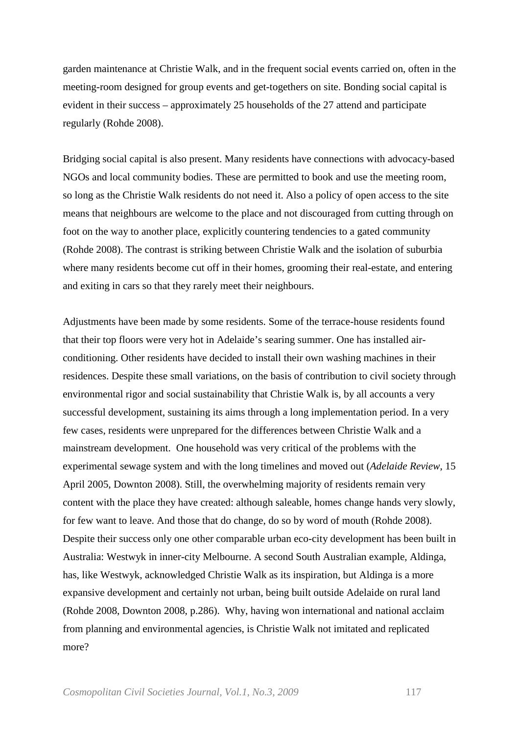garden maintenance at Christie Walk, and in the frequent social events carried on, often in the meeting-room designed for group events and get-togethers on site. Bonding social capital is evident in their success – approximately 25 households of the 27 attend and participate regularly (Rohde 2008).

Bridging social capital is also present. Many residents have connections with advocacy-based NGOs and local community bodies. These are permitted to book and use the meeting room, so long as the Christie Walk residents do not need it. Also a policy of open access to the site means that neighbours are welcome to the place and not discouraged from cutting through on foot on the way to another place, explicitly countering tendencies to a gated community (Rohde 2008). The contrast is striking between Christie Walk and the isolation of suburbia where many residents become cut off in their homes, grooming their real-estate, and entering and exiting in cars so that they rarely meet their neighbours.

Adjustments have been made by some residents. Some of the terrace-house residents found that their top floors were very hot in Adelaide's searing summer. One has installed airconditioning. Other residents have decided to install their own washing machines in their residences. Despite these small variations, on the basis of contribution to civil society through environmental rigor and social sustainability that Christie Walk is, by all accounts a very successful development, sustaining its aims through a long implementation period. In a very few cases, residents were unprepared for the differences between Christie Walk and a mainstream development. One household was very critical of the problems with the experimental sewage system and with the long timelines and moved out (*Adelaide Review*, 15 April 2005, Downton 2008). Still, the overwhelming majority of residents remain very content with the place they have created: although saleable, homes change hands very slowly, for few want to leave. And those that do change, do so by word of mouth (Rohde 2008). Despite their success only one other comparable urban eco-city development has been built in Australia: Westwyk in inner-city Melbourne. A second South Australian example, Aldinga, has, like Westwyk, acknowledged Christie Walk as its inspiration, but Aldinga is a more expansive development and certainly not urban, being built outside Adelaide on rural land (Rohde 2008, Downton 2008, p.286). Why, having won international and national acclaim from planning and environmental agencies, is Christie Walk not imitated and replicated more?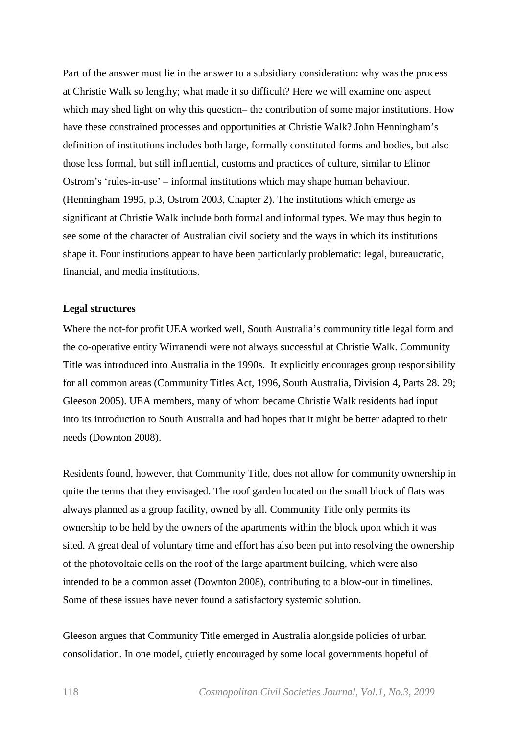Part of the answer must lie in the answer to a subsidiary consideration: why was the process at Christie Walk so lengthy; what made it so difficult? Here we will examine one aspect which may shed light on why this question– the contribution of some major institutions. How have these constrained processes and opportunities at Christie Walk? John Henningham's definition of institutions includes both large, formally constituted forms and bodies, but also those less formal, but still influential, customs and practices of culture, similar to Elinor Ostrom's 'rules-in-use' – informal institutions which may shape human behaviour. (Henningham 1995, p.3, Ostrom 2003, Chapter 2). The institutions which emerge as significant at Christie Walk include both formal and informal types. We may thus begin to see some of the character of Australian civil society and the ways in which its institutions shape it. Four institutions appear to have been particularly problematic: legal, bureaucratic, financial, and media institutions.

### **Legal structures**

Where the not-for profit UEA worked well, South Australia's community title legal form and the co-operative entity Wirranendi were not always successful at Christie Walk. Community Title was introduced into Australia in the 1990s. It explicitly encourages group responsibility for all common areas (Community Titles Act, 1996, South Australia, Division 4, Parts 28. 29; Gleeson 2005). UEA members, many of whom became Christie Walk residents had input into its introduction to South Australia and had hopes that it might be better adapted to their needs (Downton 2008).

Residents found, however, that Community Title, does not allow for community ownership in quite the terms that they envisaged. The roof garden located on the small block of flats was always planned as a group facility, owned by all. Community Title only permits its ownership to be held by the owners of the apartments within the block upon which it was sited. A great deal of voluntary time and effort has also been put into resolving the ownership of the photovoltaic cells on the roof of the large apartment building, which were also intended to be a common asset (Downton 2008), contributing to a blow-out in timelines. Some of these issues have never found a satisfactory systemic solution.

Gleeson argues that Community Title emerged in Australia alongside policies of urban consolidation. In one model, quietly encouraged by some local governments hopeful of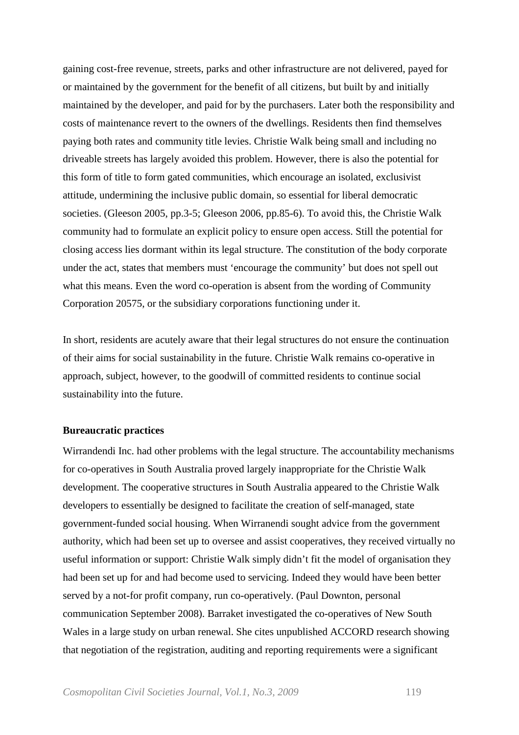gaining cost-free revenue, streets, parks and other infrastructure are not delivered, payed for or maintained by the government for the benefit of all citizens, but built by and initially maintained by the developer, and paid for by the purchasers. Later both the responsibility and costs of maintenance revert to the owners of the dwellings. Residents then find themselves paying both rates and community title levies. Christie Walk being small and including no driveable streets has largely avoided this problem. However, there is also the potential for this form of title to form gated communities, which encourage an isolated, exclusivist attitude, undermining the inclusive public domain, so essential for liberal democratic societies. (Gleeson 2005, pp.3-5; Gleeson 2006, pp.85-6). To avoid this, the Christie Walk community had to formulate an explicit policy to ensure open access. Still the potential for closing access lies dormant within its legal structure. The constitution of the body corporate under the act, states that members must 'encourage the community' but does not spell out what this means. Even the word co-operation is absent from the wording of Community Corporation 20575, or the subsidiary corporations functioning under it.

In short, residents are acutely aware that their legal structures do not ensure the continuation of their aims for social sustainability in the future. Christie Walk remains co-operative in approach, subject, however, to the goodwill of committed residents to continue social sustainability into the future.

# **Bureaucratic practices**

Wirrandendi Inc. had other problems with the legal structure. The accountability mechanisms for co-operatives in South Australia proved largely inappropriate for the Christie Walk development. The cooperative structures in South Australia appeared to the Christie Walk developers to essentially be designed to facilitate the creation of self-managed, state government-funded social housing. When Wirranendi sought advice from the government authority, which had been set up to oversee and assist cooperatives, they received virtually no useful information or support: Christie Walk simply didn't fit the model of organisation they had been set up for and had become used to servicing. Indeed they would have been better served by a not-for profit company, run co-operatively. (Paul Downton, personal communication September 2008). Barraket investigated the co-operatives of New South Wales in a large study on urban renewal. She cites unpublished ACCORD research showing that negotiation of the registration, auditing and reporting requirements were a significant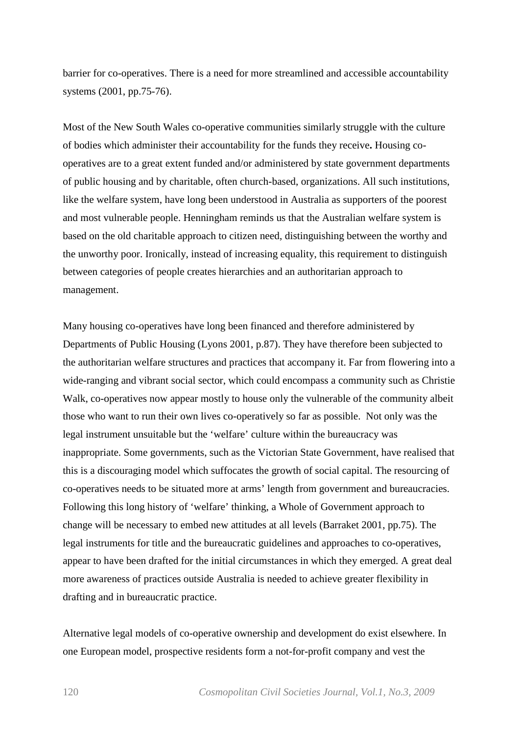barrier for co-operatives. There is a need for more streamlined and accessible accountability systems (2001, pp.75-76).

Most of the New South Wales co-operative communities similarly struggle with the culture of bodies which administer their accountability for the funds they receive**.** Housing cooperatives are to a great extent funded and/or administered by state government departments of public housing and by charitable, often church-based, organizations. All such institutions, like the welfare system, have long been understood in Australia as supporters of the poorest and most vulnerable people. Henningham reminds us that the Australian welfare system is based on the old charitable approach to citizen need, distinguishing between the worthy and the unworthy poor. Ironically, instead of increasing equality, this requirement to distinguish between categories of people creates hierarchies and an authoritarian approach to management.

Many housing co-operatives have long been financed and therefore administered by Departments of Public Housing (Lyons 2001, p.87). They have therefore been subjected to the authoritarian welfare structures and practices that accompany it. Far from flowering into a wide-ranging and vibrant social sector, which could encompass a community such as Christie Walk, co-operatives now appear mostly to house only the vulnerable of the community albeit those who want to run their own lives co-operatively so far as possible. Not only was the legal instrument unsuitable but the 'welfare' culture within the bureaucracy was inappropriate. Some governments, such as the Victorian State Government, have realised that this is a discouraging model which suffocates the growth of social capital. The resourcing of co-operatives needs to be situated more at arms' length from government and bureaucracies. Following this long history of 'welfare' thinking, a Whole of Government approach to change will be necessary to embed new attitudes at all levels (Barraket 2001, pp.75). The legal instruments for title and the bureaucratic guidelines and approaches to co-operatives, appear to have been drafted for the initial circumstances in which they emerged. A great deal more awareness of practices outside Australia is needed to achieve greater flexibility in drafting and in bureaucratic practice.

Alternative legal models of co-operative ownership and development do exist elsewhere. In one European model, prospective residents form a not-for-profit company and vest the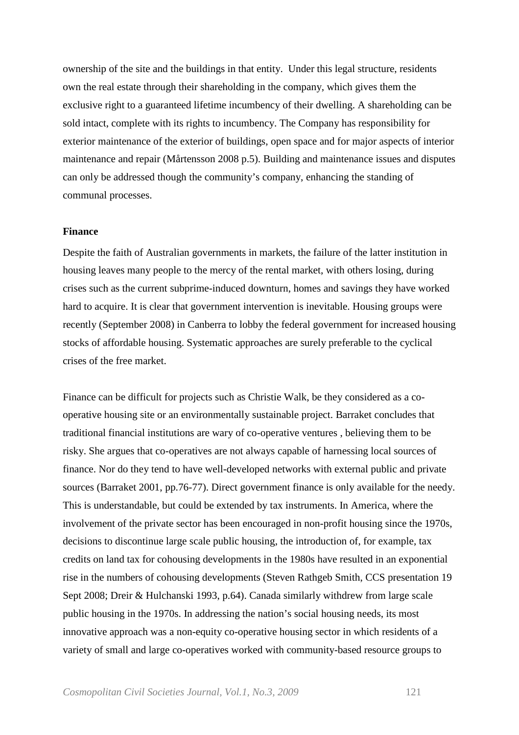ownership of the site and the buildings in that entity. Under this legal structure, residents own the real estate through their shareholding in the company, which gives them the exclusive right to a guaranteed lifetime incumbency of their dwelling. A shareholding can be sold intact, complete with its rights to incumbency. The Company has responsibility for exterior maintenance of the exterior of buildings, open space and for major aspects of interior maintenance and repair (Mårtensson 2008 p.5). Building and maintenance issues and disputes can only be addressed though the community's company, enhancing the standing of communal processes.

# **Finance**

Despite the faith of Australian governments in markets, the failure of the latter institution in housing leaves many people to the mercy of the rental market, with others losing, during crises such as the current subprime-induced downturn, homes and savings they have worked hard to acquire. It is clear that government intervention is inevitable. Housing groups were recently (September 2008) in Canberra to lobby the federal government for increased housing stocks of affordable housing. Systematic approaches are surely preferable to the cyclical crises of the free market.

Finance can be difficult for projects such as Christie Walk, be they considered as a cooperative housing site or an environmentally sustainable project. Barraket concludes that traditional financial institutions are wary of co-operative ventures , believing them to be risky. She argues that co-operatives are not always capable of harnessing local sources of finance. Nor do they tend to have well-developed networks with external public and private sources (Barraket 2001, pp.76-77). Direct government finance is only available for the needy. This is understandable, but could be extended by tax instruments. In America, where the involvement of the private sector has been encouraged in non-profit housing since the 1970s, decisions to discontinue large scale public housing, the introduction of, for example, tax credits on land tax for cohousing developments in the 1980s have resulted in an exponential rise in the numbers of cohousing developments (Steven Rathgeb Smith, CCS presentation 19 Sept 2008; Dreir & Hulchanski 1993, p.64). Canada similarly withdrew from large scale public housing in the 1970s. In addressing the nation's social housing needs, its most innovative approach was a non-equity co-operative housing sector in which residents of a variety of small and large co-operatives worked with community-based resource groups to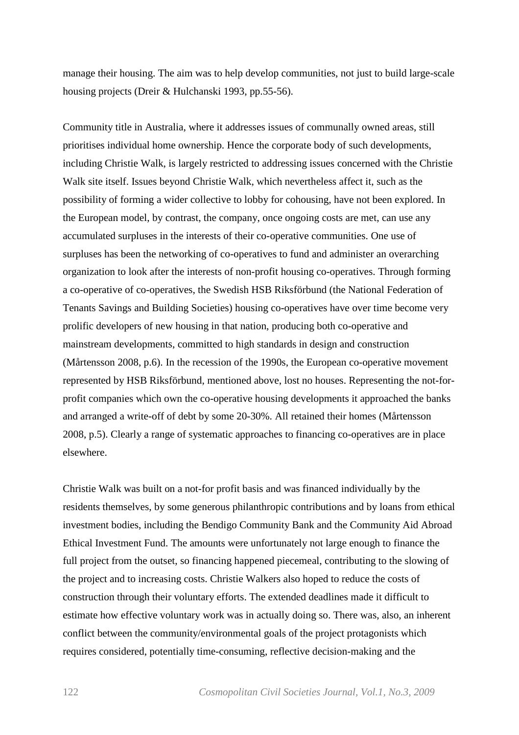manage their housing. The aim was to help develop communities, not just to build large-scale housing projects (Dreir & Hulchanski 1993, pp.55-56).

Community title in Australia, where it addresses issues of communally owned areas, still prioritises individual home ownership. Hence the corporate body of such developments, including Christie Walk, is largely restricted to addressing issues concerned with the Christie Walk site itself. Issues beyond Christie Walk, which nevertheless affect it, such as the possibility of forming a wider collective to lobby for cohousing, have not been explored. In the European model, by contrast, the company, once ongoing costs are met, can use any accumulated surpluses in the interests of their co-operative communities. One use of surpluses has been the networking of co-operatives to fund and administer an overarching organization to look after the interests of non-profit housing co-operatives. Through forming a co-operative of co-operatives, the Swedish HSB Riksförbund (the National Federation of Tenants Savings and Building Societies) housing co-operatives have over time become very prolific developers of new housing in that nation, producing both co-operative and mainstream developments, committed to high standards in design and construction (Mårtensson 2008, p.6). In the recession of the 1990s, the European co-operative movement represented by HSB Riksförbund, mentioned above, lost no houses. Representing the not-forprofit companies which own the co-operative housing developments it approached the banks and arranged a write-off of debt by some 20-30%. All retained their homes (Mårtensson 2008, p.5). Clearly a range of systematic approaches to financing co-operatives are in place elsewhere.

Christie Walk was built on a not-for profit basis and was financed individually by the residents themselves, by some generous philanthropic contributions and by loans from ethical investment bodies, including the Bendigo Community Bank and the Community Aid Abroad Ethical Investment Fund. The amounts were unfortunately not large enough to finance the full project from the outset, so financing happened piecemeal, contributing to the slowing of the project and to increasing costs. Christie Walkers also hoped to reduce the costs of construction through their voluntary efforts. The extended deadlines made it difficult to estimate how effective voluntary work was in actually doing so. There was, also, an inherent conflict between the community/environmental goals of the project protagonists which requires considered, potentially time-consuming, reflective decision-making and the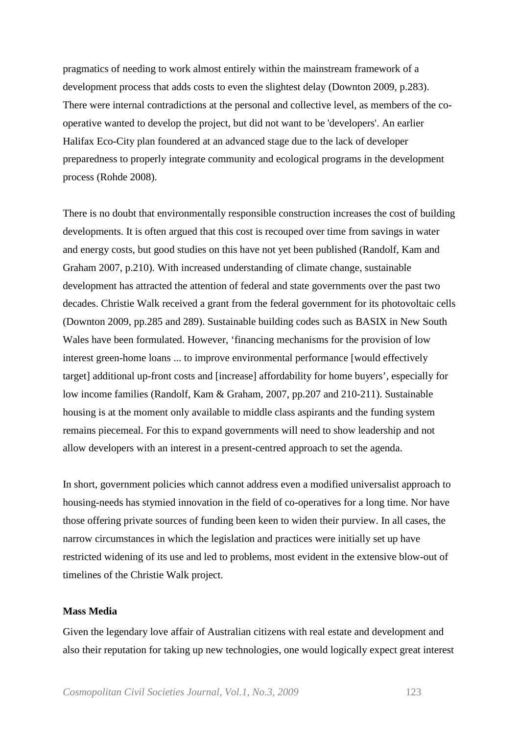pragmatics of needing to work almost entirely within the mainstream framework of a development process that adds costs to even the slightest delay (Downton 2009, p.283). There were internal contradictions at the personal and collective level, as members of the cooperative wanted to develop the project, but did not want to be 'developers'. An earlier Halifax Eco-City plan foundered at an advanced stage due to the lack of developer preparedness to properly integrate community and ecological programs in the development process (Rohde 2008).

There is no doubt that environmentally responsible construction increases the cost of building developments. It is often argued that this cost is recouped over time from savings in water and energy costs, but good studies on this have not yet been published (Randolf, Kam and Graham 2007, p.210). With increased understanding of climate change, sustainable development has attracted the attention of federal and state governments over the past two decades. Christie Walk received a grant from the federal government for its photovoltaic cells (Downton 2009, pp.285 and 289). Sustainable building codes such as BASIX in New South Wales have been formulated. However, 'financing mechanisms for the provision of low interest green-home loans ... to improve environmental performance [would effectively target] additional up-front costs and [increase] affordability for home buyers', especially for low income families (Randolf, Kam & Graham, 2007, pp.207 and 210-211). Sustainable housing is at the moment only available to middle class aspirants and the funding system remains piecemeal. For this to expand governments will need to show leadership and not allow developers with an interest in a present-centred approach to set the agenda.

In short, government policies which cannot address even a modified universalist approach to housing-needs has stymied innovation in the field of co-operatives for a long time. Nor have those offering private sources of funding been keen to widen their purview. In all cases, the narrow circumstances in which the legislation and practices were initially set up have restricted widening of its use and led to problems, most evident in the extensive blow-out of timelines of the Christie Walk project.

# **Mass Media**

Given the legendary love affair of Australian citizens with real estate and development and also their reputation for taking up new technologies, one would logically expect great interest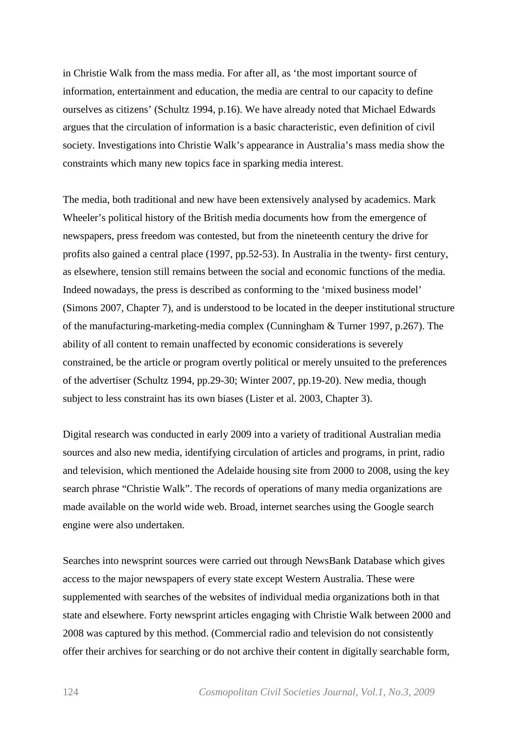in Christie Walk from the mass media. For after all, as 'the most important source of information, entertainment and education, the media are central to our capacity to define ourselves as citizens' (Schultz 1994, p.16). We have already noted that Michael Edwards argues that the circulation of information is a basic characteristic, even definition of civil society. Investigations into Christie Walk's appearance in Australia's mass media show the constraints which many new topics face in sparking media interest.

The media, both traditional and new have been extensively analysed by academics. Mark Wheeler's political history of the British media documents how from the emergence of newspapers, press freedom was contested, but from the nineteenth century the drive for profits also gained a central place (1997, pp.52-53). In Australia in the twenty- first century, as elsewhere, tension still remains between the social and economic functions of the media. Indeed nowadays, the press is described as conforming to the 'mixed business model' (Simons 2007, Chapter 7), and is understood to be located in the deeper institutional structure of the manufacturing-marketing-media complex (Cunningham & Turner 1997, p.267). The ability of all content to remain unaffected by economic considerations is severely constrained, be the article or program overtly political or merely unsuited to the preferences of the advertiser (Schultz 1994, pp.29-30; Winter 2007, pp.19-20). New media, though subject to less constraint has its own biases (Lister et al. 2003, Chapter 3).

Digital research was conducted in early 2009 into a variety of traditional Australian media sources and also new media, identifying circulation of articles and programs, in print, radio and television, which mentioned the Adelaide housing site from 2000 to 2008, using the key search phrase "Christie Walk". The records of operations of many media organizations are made available on the world wide web. Broad, internet searches using the Google search engine were also undertaken.

Searches into newsprint sources were carried out through NewsBank Database which gives access to the major newspapers of every state except Western Australia. These were supplemented with searches of the websites of individual media organizations both in that state and elsewhere. Forty newsprint articles engaging with Christie Walk between 2000 and 2008 was captured by this method. (Commercial radio and television do not consistently offer their archives for searching or do not archive their content in digitally searchable form,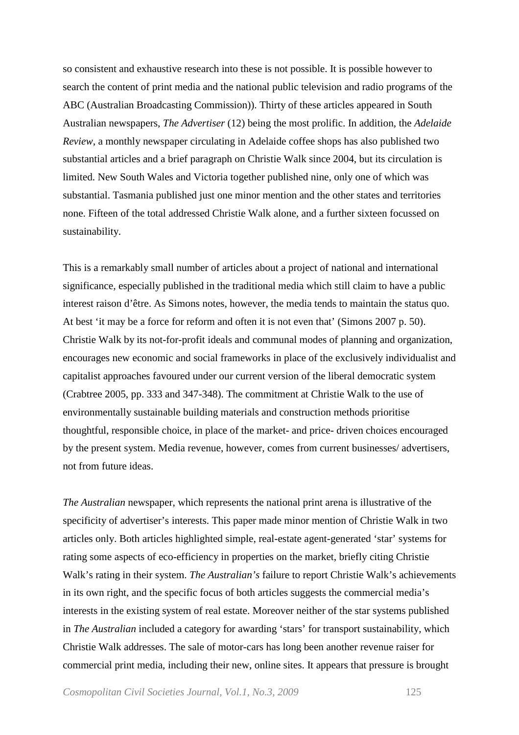so consistent and exhaustive research into these is not possible. It is possible however to search the content of print media and the national public television and radio programs of the ABC (Australian Broadcasting Commission)). Thirty of these articles appeared in South Australian newspapers, *The Advertiser* (12) being the most prolific. In addition, the *Adelaide Review*, a monthly newspaper circulating in Adelaide coffee shops has also published two substantial articles and a brief paragraph on Christie Walk since 2004, but its circulation is limited. New South Wales and Victoria together published nine, only one of which was substantial. Tasmania published just one minor mention and the other states and territories none. Fifteen of the total addressed Christie Walk alone, and a further sixteen focussed on sustainability.

This is a remarkably small number of articles about a project of national and international significance, especially published in the traditional media which still claim to have a public interest raison d'être. As Simons notes, however, the media tends to maintain the status quo. At best 'it may be a force for reform and often it is not even that' (Simons 2007 p. 50). Christie Walk by its not-for-profit ideals and communal modes of planning and organization, encourages new economic and social frameworks in place of the exclusively individualist and capitalist approaches favoured under our current version of the liberal democratic system (Crabtree 2005, pp. 333 and 347-348). The commitment at Christie Walk to the use of environmentally sustainable building materials and construction methods prioritise thoughtful, responsible choice, in place of the market- and price- driven choices encouraged by the present system. Media revenue, however, comes from current businesses/ advertisers, not from future ideas.

*The Australian* newspaper, which represents the national print arena is illustrative of the specificity of advertiser's interests. This paper made minor mention of Christie Walk in two articles only. Both articles highlighted simple, real-estate agent-generated 'star' systems for rating some aspects of eco-efficiency in properties on the market, briefly citing Christie Walk's rating in their system. *The Australian's* failure to report Christie Walk's achievements in its own right, and the specific focus of both articles suggests the commercial media's interests in the existing system of real estate. Moreover neither of the star systems published in *The Australian* included a category for awarding 'stars' for transport sustainability, which Christie Walk addresses. The sale of motor-cars has long been another revenue raiser for commercial print media, including their new, online sites. It appears that pressure is brought

*Cosmopolitan Civil Societies Journal, Vol.1, No.3, 2009* 125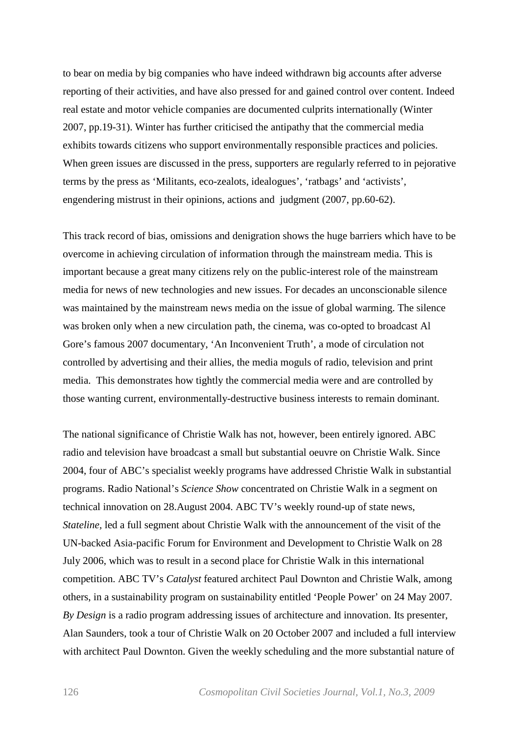to bear on media by big companies who have indeed withdrawn big accounts after adverse reporting of their activities, and have also pressed for and gained control over content. Indeed real estate and motor vehicle companies are documented culprits internationally (Winter 2007, pp.19-31). Winter has further criticised the antipathy that the commercial media exhibits towards citizens who support environmentally responsible practices and policies. When green issues are discussed in the press, supporters are regularly referred to in pejorative terms by the press as 'Militants, eco-zealots, idealogues', 'ratbags' and 'activists', engendering mistrust in their opinions, actions and judgment (2007, pp.60-62).

This track record of bias, omissions and denigration shows the huge barriers which have to be overcome in achieving circulation of information through the mainstream media. This is important because a great many citizens rely on the public-interest role of the mainstream media for news of new technologies and new issues. For decades an unconscionable silence was maintained by the mainstream news media on the issue of global warming. The silence was broken only when a new circulation path, the cinema, was co-opted to broadcast Al Gore's famous 2007 documentary, 'An Inconvenient Truth', a mode of circulation not controlled by advertising and their allies, the media moguls of radio, television and print media. This demonstrates how tightly the commercial media were and are controlled by those wanting current, environmentally-destructive business interests to remain dominant.

The national significance of Christie Walk has not, however, been entirely ignored. ABC radio and television have broadcast a small but substantial oeuvre on Christie Walk. Since 2004, four of ABC's specialist weekly programs have addressed Christie Walk in substantial programs. Radio National's *Science Show* concentrated on Christie Walk in a segment on technical innovation on 28.August 2004. ABC TV's weekly round-up of state news, *Stateline,* led a full segment about Christie Walk with the announcement of the visit of the UN-backed Asia-pacific Forum for Environment and Development to Christie Walk on 28 July 2006, which was to result in a second place for Christie Walk in this international competition. ABC TV's *Catalyst* featured architect Paul Downton and Christie Walk, among others, in a sustainability program on sustainability entitled 'People Power' on 24 May 2007*. By Design* is a radio program addressing issues of architecture and innovation. Its presenter, Alan Saunders, took a tour of Christie Walk on 20 October 2007 and included a full interview with architect Paul Downton. Given the weekly scheduling and the more substantial nature of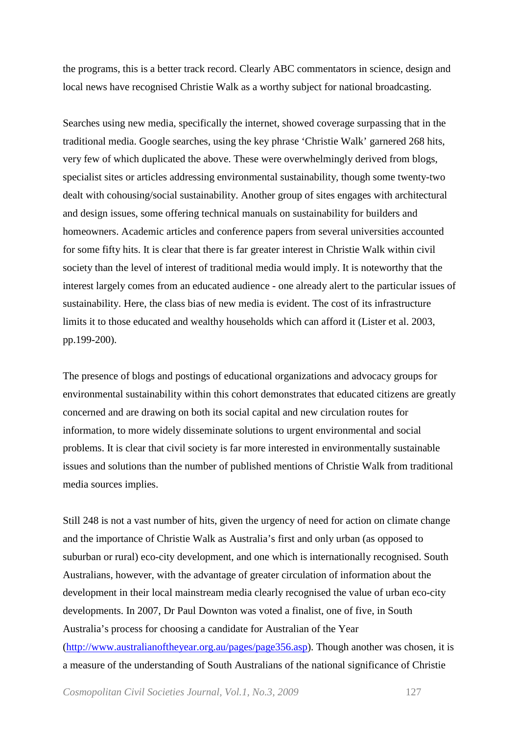the programs, this is a better track record. Clearly ABC commentators in science, design and local news have recognised Christie Walk as a worthy subject for national broadcasting.

Searches using new media, specifically the internet, showed coverage surpassing that in the traditional media. Google searches, using the key phrase 'Christie Walk' garnered 268 hits, very few of which duplicated the above. These were overwhelmingly derived from blogs, specialist sites or articles addressing environmental sustainability, though some twenty-two dealt with cohousing/social sustainability. Another group of sites engages with architectural and design issues, some offering technical manuals on sustainability for builders and homeowners. Academic articles and conference papers from several universities accounted for some fifty hits. It is clear that there is far greater interest in Christie Walk within civil society than the level of interest of traditional media would imply. It is noteworthy that the interest largely comes from an educated audience - one already alert to the particular issues of sustainability. Here, the class bias of new media is evident. The cost of its infrastructure limits it to those educated and wealthy households which can afford it (Lister et al. 2003, pp.199-200).

The presence of blogs and postings of educational organizations and advocacy groups for environmental sustainability within this cohort demonstrates that educated citizens are greatly concerned and are drawing on both its social capital and new circulation routes for information, to more widely disseminate solutions to urgent environmental and social problems. It is clear that civil society is far more interested in environmentally sustainable issues and solutions than the number of published mentions of Christie Walk from traditional media sources implies.

Still 248 is not a vast number of hits, given the urgency of need for action on climate change and the importance of Christie Walk as Australia's first and only urban (as opposed to suburban or rural) eco-city development, and one which is internationally recognised. South Australians, however, with the advantage of greater circulation of information about the development in their local mainstream media clearly recognised the value of urban eco-city developments. In 2007, Dr Paul Downton was voted a finalist, one of five, in South Australia's process for choosing a candidate for Australian of the Year [\(http://www.australianoftheyear.org.au/pages/page356.asp\)](http://www.australianoftheyear.org.au/pages/page356.asp). Though another was chosen, it is a measure of the understanding of South Australians of the national significance of Christie

*Cosmopolitan Civil Societies Journal, Vol.1, No.3, 2009* 127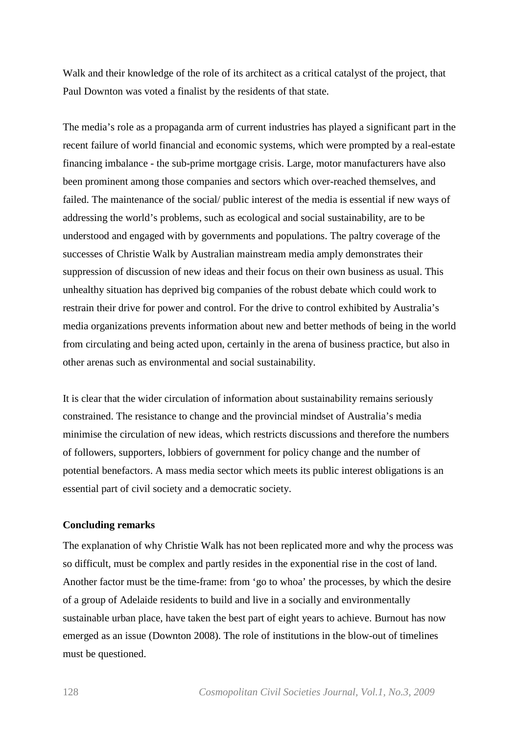Walk and their knowledge of the role of its architect as a critical catalyst of the project, that Paul Downton was voted a finalist by the residents of that state.

The media's role as a propaganda arm of current industries has played a significant part in the recent failure of world financial and economic systems, which were prompted by a real-estate financing imbalance - the sub-prime mortgage crisis. Large, motor manufacturers have also been prominent among those companies and sectors which over-reached themselves, and failed. The maintenance of the social/ public interest of the media is essential if new ways of addressing the world's problems, such as ecological and social sustainability, are to be understood and engaged with by governments and populations. The paltry coverage of the successes of Christie Walk by Australian mainstream media amply demonstrates their suppression of discussion of new ideas and their focus on their own business as usual. This unhealthy situation has deprived big companies of the robust debate which could work to restrain their drive for power and control. For the drive to control exhibited by Australia's media organizations prevents information about new and better methods of being in the world from circulating and being acted upon, certainly in the arena of business practice, but also in other arenas such as environmental and social sustainability.

It is clear that the wider circulation of information about sustainability remains seriously constrained. The resistance to change and the provincial mindset of Australia's media minimise the circulation of new ideas, which restricts discussions and therefore the numbers of followers, supporters, lobbiers of government for policy change and the number of potential benefactors. A mass media sector which meets its public interest obligations is an essential part of civil society and a democratic society.

# **Concluding remarks**

The explanation of why Christie Walk has not been replicated more and why the process was so difficult, must be complex and partly resides in the exponential rise in the cost of land. Another factor must be the time-frame: from 'go to whoa' the processes, by which the desire of a group of Adelaide residents to build and live in a socially and environmentally sustainable urban place, have taken the best part of eight years to achieve. Burnout has now emerged as an issue (Downton 2008). The role of institutions in the blow-out of timelines must be questioned.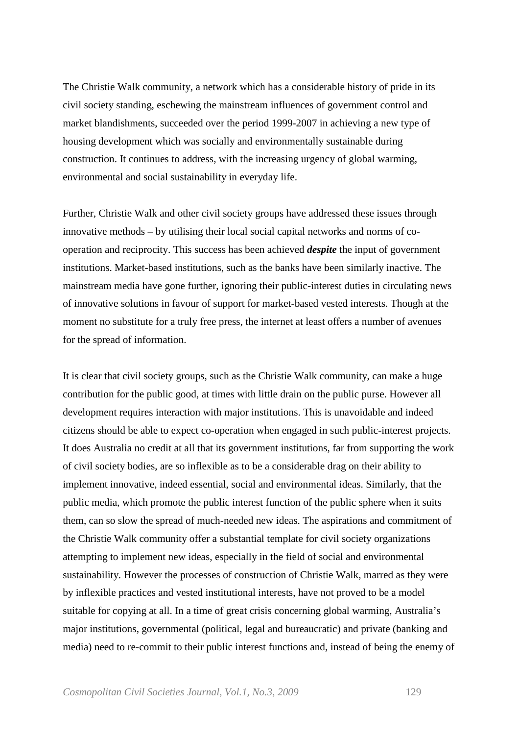The Christie Walk community, a network which has a considerable history of pride in its civil society standing, eschewing the mainstream influences of government control and market blandishments, succeeded over the period 1999-2007 in achieving a new type of housing development which was socially and environmentally sustainable during construction. It continues to address, with the increasing urgency of global warming, environmental and social sustainability in everyday life.

Further, Christie Walk and other civil society groups have addressed these issues through innovative methods – by utilising their local social capital networks and norms of cooperation and reciprocity. This success has been achieved *despite* the input of government institutions. Market-based institutions, such as the banks have been similarly inactive. The mainstream media have gone further, ignoring their public-interest duties in circulating news of innovative solutions in favour of support for market-based vested interests. Though at the moment no substitute for a truly free press, the internet at least offers a number of avenues for the spread of information.

It is clear that civil society groups, such as the Christie Walk community, can make a huge contribution for the public good, at times with little drain on the public purse. However all development requires interaction with major institutions. This is unavoidable and indeed citizens should be able to expect co-operation when engaged in such public-interest projects. It does Australia no credit at all that its government institutions, far from supporting the work of civil society bodies, are so inflexible as to be a considerable drag on their ability to implement innovative, indeed essential, social and environmental ideas. Similarly, that the public media, which promote the public interest function of the public sphere when it suits them, can so slow the spread of much-needed new ideas. The aspirations and commitment of the Christie Walk community offer a substantial template for civil society organizations attempting to implement new ideas, especially in the field of social and environmental sustainability. However the processes of construction of Christie Walk, marred as they were by inflexible practices and vested institutional interests, have not proved to be a model suitable for copying at all. In a time of great crisis concerning global warming, Australia's major institutions, governmental (political, legal and bureaucratic) and private (banking and media) need to re-commit to their public interest functions and, instead of being the enemy of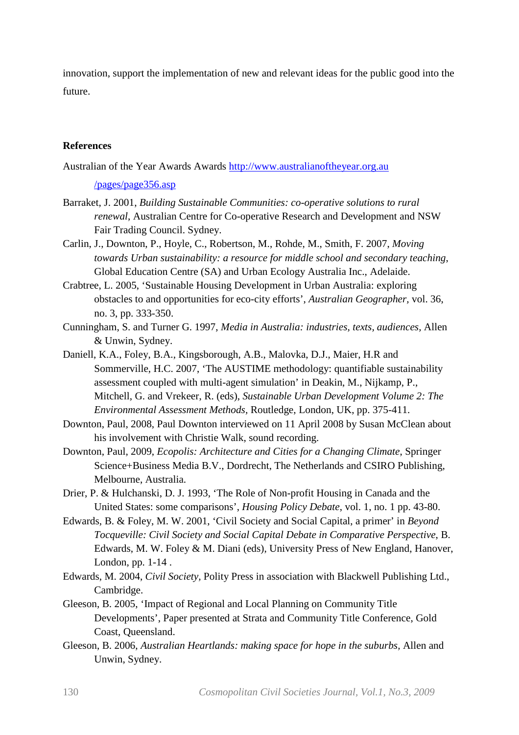innovation, support the implementation of new and relevant ideas for the public good into the future.

# **References**

Australian of the Year Awards Awards http://www.australianoftheyear.org.au

/pages/page356.asp

- Barraket, J. 2001, *Building Sustainable Communities: co-operative solutions to rural renewal*, Australian Centre for Co-operative Research and Development and NSW Fair Trading Council. Sydney.
- Carlin, J., Downton, P., Hoyle, C., Robertson, M., Rohde, M., Smith, F. 2007, *Moving towards Urban sustainability: a resource for middle school and secondary teaching*, Global Education Centre (SA) and Urban Ecology Australia Inc., Adelaide.
- Crabtree, L. 2005, 'Sustainable Housing Development in Urban Australia: exploring obstacles to and opportunities for eco-city efforts', *Australian Geographer,* vol. 36, no. 3, pp. 333-350.
- Cunningham, S. and Turner G. 1997, *Media in Australia: industries, texts, audiences,* Allen & Unwin, Sydney.
- Daniell, K.A., Foley, B.A., Kingsborough, A.B., Malovka, D.J., Maier, H.R and Sommerville, H.C. 2007, 'The AUSTIME methodology: quantifiable sustainability assessment coupled with multi-agent simulation' in Deakin, M., Nijkamp, P., Mitchell, G. and Vrekeer, R. (eds), *Sustainable Urban Development Volume 2: The Environmental Assessment Methods,* Routledge, London, UK, pp. 375-411.
- Downton, Paul, 2008, Paul Downton interviewed on 11 April 2008 by Susan McClean about his involvement with Christie Walk, sound recording.
- Downton, Paul, 2009, *Ecopolis: Architecture and Cities for a Changing Climate*, Springer Science+Business Media B.V., Dordrecht, The Netherlands and CSIRO Publishing, Melbourne, Australia.
- Drier, P. & Hulchanski, D. J. 1993, 'The Role of Non-profit Housing in Canada and the United States: some comparisons', *Housing Policy Debate*, vol. 1, no. 1 pp. 43-80.
- Edwards, B. & Foley, M. W. 2001, 'Civil Society and Social Capital, a primer' in *Beyond Tocqueville: Civil Society and Social Capital Debate in Comparative Perspective*, B. Edwards, M. W. Foley & M. Diani (eds), University Press of New England, Hanover, London, pp. 1-14 .
- Edwards, M. 2004, *Civil Society,* Polity Press in association with Blackwell Publishing Ltd., Cambridge.
- Gleeson, B. 2005, 'Impact of Regional and Local Planning on Community Title Developments', Paper presented at Strata and Community Title Conference, Gold Coast, Queensland.
- Gleeson, B. 2006, *Australian Heartlands: making space for hope in the suburbs,* Allen and Unwin, Sydney.